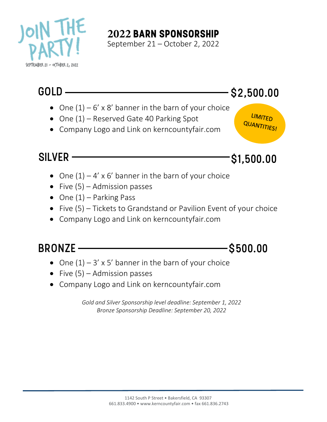

## **2022 BARN SPONSORSHIP**

September 21 – October 2, 2022

## $GOLD$   $-$  \$2,500.00

LIMITED QUANTITIESI

- One  $(1) 6' \times 8'$  banner in the barn of your choice
- One (1) Reserved Gate 40 Parking Spot
- Company Logo and Link on kerncountyfair.com

SILVER **SILVER** SILVER SILVER

- One  $(1) 4' \times 6'$  banner in the barn of your choice
- Five  $(5)$  Admission passes
- One  $(1)$  Parking Pass
- Five (5) Tickets to Grandstand or Pavilion Event of your choice
- Company Logo and Link on kerncountyfair.com

BRONZE – S500.00

- One  $(1) 3' \times 5'$  banner in the barn of your choice
- Five  $(5)$  Admission passes
- Company Logo and Link on kerncountyfair.com

*Gold and Silver Sponsorship level deadline: September 1, 2022 Bronze Sponsorship Deadline: September 20, 2022*